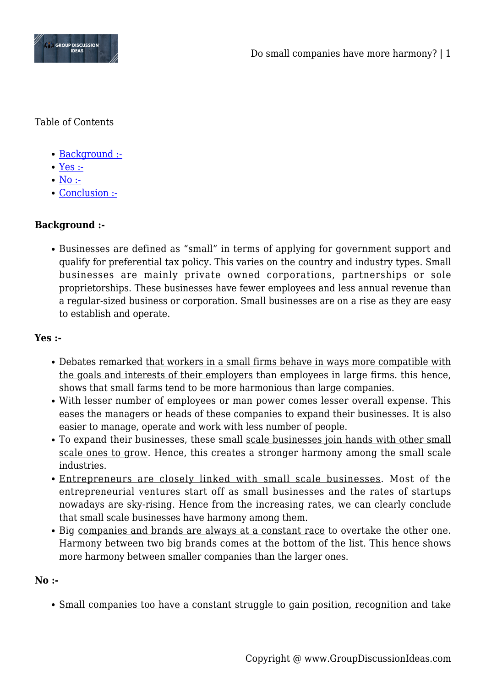

Table of Contents

- [Background :-](#page--1-0)
- [Yes :-](#page--1-0)
- $\bullet$  [No :-](#page--1-0)
- [Conclusion :-](#page--1-0)

## **Background :-**

Businesses are defined as "small" in terms of applying for government support and qualify for preferential tax policy. This varies on the country and industry types. Small businesses are mainly private owned corporations, partnerships or sole proprietorships. These businesses have fewer employees and less annual revenue than a regular-sized business or corporation. Small businesses are on a rise as they are easy to establish and operate.

## **Yes :-**

- Debates remarked that workers in a small firms behave in ways more compatible with the goals and interests of their employers than employees in large firms. this hence, shows that small farms tend to be more harmonious than large companies.
- With lesser number of employees or man power comes lesser overall expense. This eases the managers or heads of these companies to expand their businesses. It is also easier to manage, operate and work with less number of people.
- To expand their businesses, these small scale businesses join hands with other small scale ones to grow. Hence, this creates a stronger harmony among the small scale industries.
- Entrepreneurs are closely linked with small scale businesses. Most of the entrepreneurial ventures start off as small businesses and the rates of startups nowadays are sky-rising. Hence from the increasing rates, we can clearly conclude that small scale businesses have harmony among them.
- Big companies and brands are always at a constant race to overtake the other one. Harmony between two big brands comes at the bottom of the list. This hence shows more harmony between smaller companies than the larger ones.

## **No :-**

Small companies too have a constant struggle to gain position, recognition and take